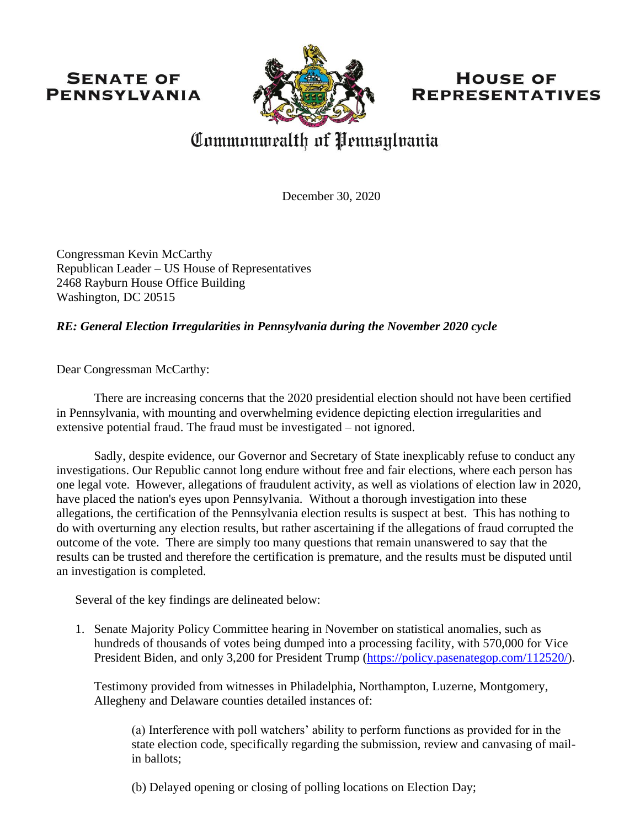## **SENATE OF PENNSYLVANIA**



## **HOUSE OF REPRESENTATIVES**

# Commonwealth of Pennsylvania

December 30, 2020

Congressman Kevin McCarthy Republican Leader – US House of Representatives 2468 Rayburn House Office Building Washington, DC 20515

### *RE: General Election Irregularities in Pennsylvania during the November 2020 cycle*

Dear Congressman McCarthy:

There are increasing concerns that the 2020 presidential election should not have been certified in Pennsylvania, with mounting and overwhelming evidence depicting election irregularities and extensive potential fraud. The fraud must be investigated – not ignored.

Sadly, despite evidence, our Governor and Secretary of State inexplicably refuse to conduct any investigations. Our Republic cannot long endure without free and fair elections, where each person has one legal vote. However, allegations of fraudulent activity, as well as violations of election law in 2020, have placed the nation's eyes upon Pennsylvania. Without a thorough investigation into these allegations, the certification of the Pennsylvania election results is suspect at best. This has nothing to do with overturning any election results, but rather ascertaining if the allegations of fraud corrupted the outcome of the vote. There are simply too many questions that remain unanswered to say that the results can be trusted and therefore the certification is premature, and the results must be disputed until an investigation is completed.

Several of the key findings are delineated below:

1. Senate Majority Policy Committee hearing in November on statistical anomalies, such as hundreds of thousands of votes being dumped into a processing facility, with 570,000 for Vice President Biden, and only 3,200 for President Trump [\(https://policy.pasenategop.com/112520/\)](https://policy.pasenategop.com/112520/).

Testimony provided from witnesses in Philadelphia, Northampton, Luzerne, Montgomery, Allegheny and Delaware counties detailed instances of:

(a) Interference with poll watchers' ability to perform functions as provided for in the state election code, specifically regarding the submission, review and canvasing of mailin ballots;

(b) Delayed opening or closing of polling locations on Election Day;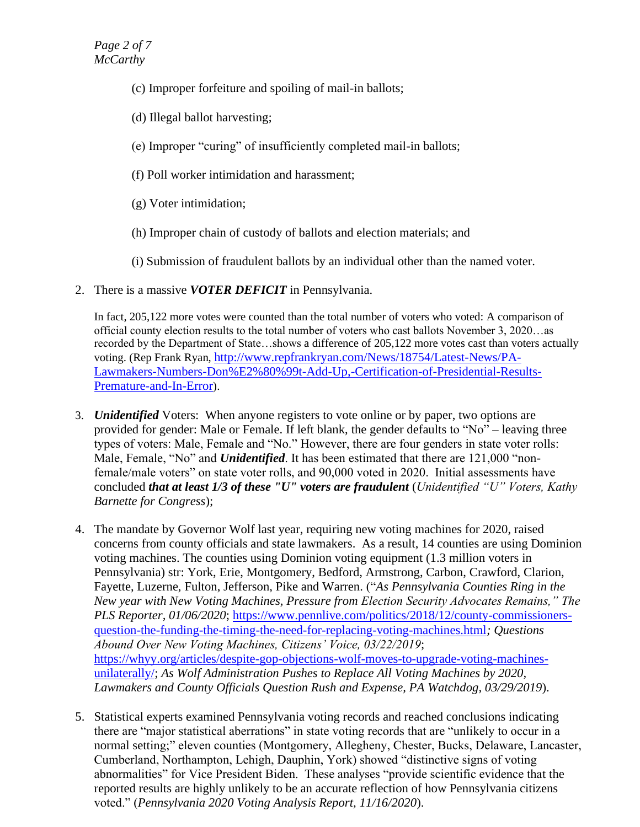- (c) Improper forfeiture and spoiling of mail-in ballots;
- (d) Illegal ballot harvesting;
- (e) Improper "curing" of insufficiently completed mail-in ballots;
- (f) Poll worker intimidation and harassment;
- (g) Voter intimidation;
- (h) Improper chain of custody of ballots and election materials; and
- (i) Submission of fraudulent ballots by an individual other than the named voter.
- 2. There is a massive *VOTER DEFICIT* in Pennsylvania.

In fact, 205,122 more votes were counted than the total number of voters who voted: A comparison of official county election results to the total number of voters who cast ballots November 3, 2020…as recorded by the Department of State…shows a difference of 205,122 more votes cast than voters actually voting. (Rep Frank Ryan, [http://www.repfrankryan.com/News/18754/Latest-News/PA-](http://www.repfrankryan.com/News/18754/Latest-News/PA-Lawmakers-Numbers-Don%E2%80%99t-Add-Up,-Certification-of-Presidential-Results-Premature-and-In-Error)[Lawmakers-Numbers-Don%E2%80%99t-Add-Up,-Certification-of-Presidential-Results-](http://www.repfrankryan.com/News/18754/Latest-News/PA-Lawmakers-Numbers-Don%E2%80%99t-Add-Up,-Certification-of-Presidential-Results-Premature-and-In-Error)[Premature-and-In-Error](http://www.repfrankryan.com/News/18754/Latest-News/PA-Lawmakers-Numbers-Don%E2%80%99t-Add-Up,-Certification-of-Presidential-Results-Premature-and-In-Error)).

- 3. *Unidentified* Voters: When anyone registers to vote online or by paper, two options are provided for gender: Male or Female. If left blank, the gender defaults to "No" – leaving three types of voters: Male, Female and "No." However, there are four genders in state voter rolls: Male, Female, "No" and *Unidentified*. It has been estimated that there are 121,000 "nonfemale/male voters" on state voter rolls, and 90,000 voted in 2020. Initial assessments have concluded *that at least 1/3 of these "U" voters are fraudulent* (*Unidentified "U" Voters, Kathy Barnette for Congress*);
- 4. The mandate by Governor Wolf last year, requiring new voting machines for 2020, raised concerns from county officials and state lawmakers. As a result, 14 counties are using Dominion voting machines. The counties using Dominion voting equipment (1.3 million voters in Pennsylvania) str: York, Erie, Montgomery, Bedford, Armstrong, Carbon, Crawford, Clarion, Fayette, Luzerne, Fulton, Jefferson, Pike and Warren. ("*As Pennsylvania Counties Ring in the New year with New Voting Machines, Pressure from Election Security Advocates Remains," The PLS Reporter, 01/06/2020;* [https://www.pennlive.com/politics/2018/12/county-commissioners](https://www.pennlive.com/politics/2018/12/county-commissioners-question-the-funding-the-timing-the-need-for-replacing-voting-machines.html)[question-the-funding-the-timing-the-need-for-replacing-voting-machines.html](https://www.pennlive.com/politics/2018/12/county-commissioners-question-the-funding-the-timing-the-need-for-replacing-voting-machines.html)*; Questions Abound Over New Voting Machines, Citizens' Voice, 03/22/2019*; [https://whyy.org/articles/despite-gop-objections-wolf-moves-to-upgrade-voting-machines](https://whyy.org/articles/despite-gop-objections-wolf-moves-to-upgrade-voting-machines-unilaterally/)[unilaterally/;](https://whyy.org/articles/despite-gop-objections-wolf-moves-to-upgrade-voting-machines-unilaterally/) *As Wolf Administration Pushes to Replace All Voting Machines by 2020, Lawmakers and County Officials Question Rush and Expense, PA Watchdog, 03/29/2019*).
- 5. Statistical experts examined Pennsylvania voting records and reached conclusions indicating there are "major statistical aberrations" in state voting records that are "unlikely to occur in a normal setting;" eleven counties (Montgomery, Allegheny, Chester, Bucks, Delaware, Lancaster, Cumberland, Northampton, Lehigh, Dauphin, York) showed "distinctive signs of voting abnormalities" for Vice President Biden. These analyses "provide scientific evidence that the reported results are highly unlikely to be an accurate reflection of how Pennsylvania citizens voted." (*Pennsylvania 2020 Voting Analysis Report, 11/16/2020*).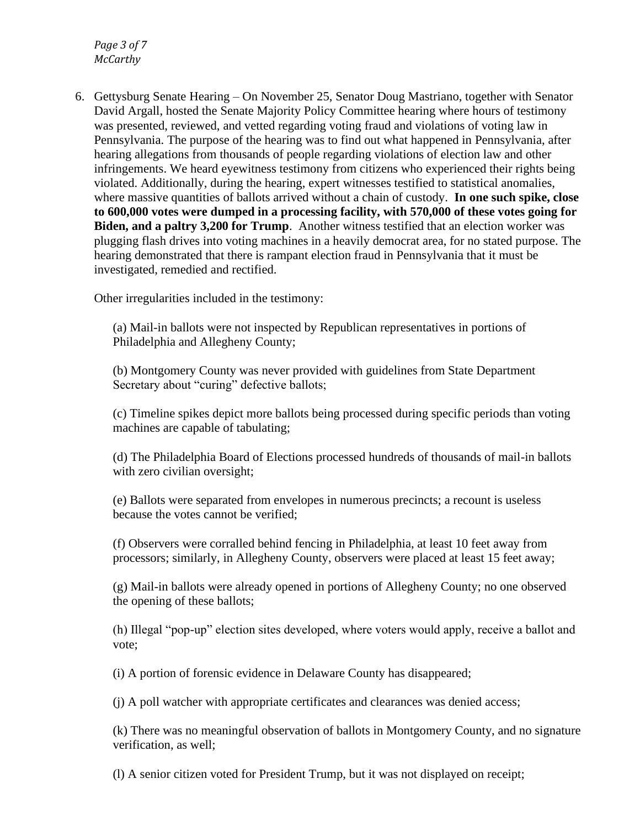*Page 3 of 7 McCarthy*

6. Gettysburg Senate Hearing – On November 25, Senator Doug Mastriano, together with Senator David Argall, hosted the Senate Majority Policy Committee hearing where hours of testimony was presented, reviewed, and vetted regarding voting fraud and violations of voting law in Pennsylvania. The purpose of the hearing was to find out what happened in Pennsylvania, after hearing allegations from thousands of people regarding violations of election law and other infringements. We heard eyewitness testimony from citizens who experienced their rights being violated. Additionally, during the hearing, expert witnesses testified to statistical anomalies, where massive quantities of ballots arrived without a chain of custody. **In one such spike, close to 600,000 votes were dumped in a processing facility, with 570,000 of these votes going for Biden, and a paltry 3,200 for Trump**. Another witness testified that an election worker was plugging flash drives into voting machines in a heavily democrat area, for no stated purpose. The hearing demonstrated that there is rampant election fraud in Pennsylvania that it must be investigated, remedied and rectified.

Other irregularities included in the testimony:

(a) Mail-in ballots were not inspected by Republican representatives in portions of Philadelphia and Allegheny County;

(b) Montgomery County was never provided with guidelines from State Department Secretary about "curing" defective ballots;

(c) Timeline spikes depict more ballots being processed during specific periods than voting machines are capable of tabulating;

(d) The Philadelphia Board of Elections processed hundreds of thousands of mail-in ballots with zero civilian oversight;

(e) Ballots were separated from envelopes in numerous precincts; a recount is useless because the votes cannot be verified;

(f) Observers were corralled behind fencing in Philadelphia, at least 10 feet away from processors; similarly, in Allegheny County, observers were placed at least 15 feet away;

(g) Mail-in ballots were already opened in portions of Allegheny County; no one observed the opening of these ballots;

(h) Illegal "pop-up" election sites developed, where voters would apply, receive a ballot and vote;

(i) A portion of forensic evidence in Delaware County has disappeared;

(j) A poll watcher with appropriate certificates and clearances was denied access;

(k) There was no meaningful observation of ballots in Montgomery County, and no signature verification, as well;

(l) A senior citizen voted for President Trump, but it was not displayed on receipt;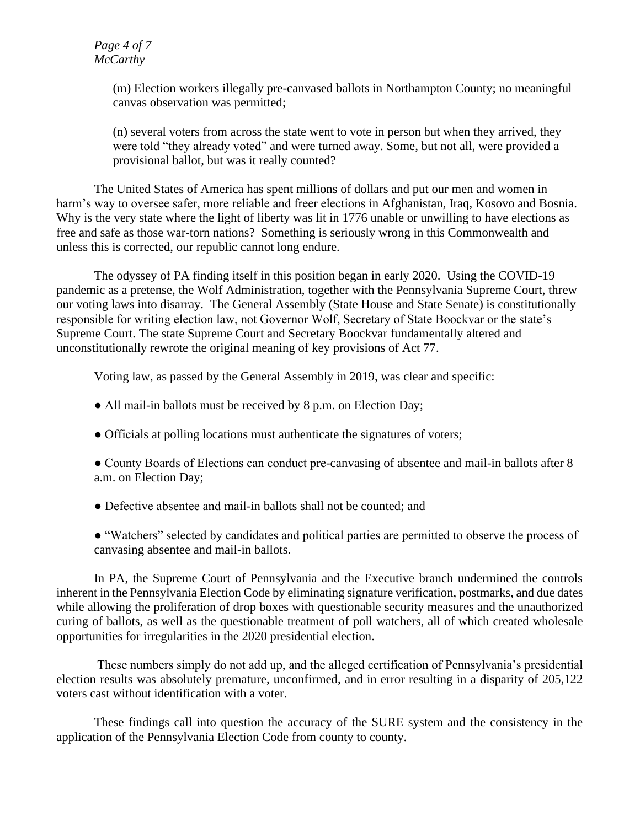#### *Page 4 of 7 McCarthy*

(m) Election workers illegally pre-canvased ballots in Northampton County; no meaningful canvas observation was permitted;

(n) several voters from across the state went to vote in person but when they arrived, they were told "they already voted" and were turned away. Some, but not all, were provided a provisional ballot, but was it really counted?

The United States of America has spent millions of dollars and put our men and women in harm's way to oversee safer, more reliable and freer elections in Afghanistan, Iraq, Kosovo and Bosnia. Why is the very state where the light of liberty was lit in 1776 unable or unwilling to have elections as free and safe as those war-torn nations? Something is seriously wrong in this Commonwealth and unless this is corrected, our republic cannot long endure.

The odyssey of PA finding itself in this position began in early 2020. Using the COVID-19 pandemic as a pretense, the Wolf Administration, together with the Pennsylvania Supreme Court, threw our voting laws into disarray. The General Assembly (State House and State Senate) is constitutionally responsible for writing election law, not Governor Wolf, Secretary of State Boockvar or the state's Supreme Court. The state Supreme Court and Secretary Boockvar fundamentally altered and unconstitutionally rewrote the original meaning of key provisions of Act 77.

Voting law, as passed by the General Assembly in 2019, was clear and specific:

- All mail-in ballots must be received by 8 p.m. on Election Day;
- Officials at polling locations must authenticate the signatures of voters;
- County Boards of Elections can conduct pre-canvasing of absentee and mail-in ballots after 8 a.m. on Election Day;
- Defective absentee and mail-in ballots shall not be counted; and
- "Watchers" selected by candidates and political parties are permitted to observe the process of canvasing absentee and mail-in ballots.

In PA, the Supreme Court of Pennsylvania and the Executive branch undermined the controls inherent in the Pennsylvania Election Code by eliminating signature verification, postmarks, and due dates while allowing the proliferation of drop boxes with questionable security measures and the unauthorized curing of ballots, as well as the questionable treatment of poll watchers, all of which created wholesale opportunities for irregularities in the 2020 presidential election.

These numbers simply do not add up, and the alleged certification of Pennsylvania's presidential election results was absolutely premature, unconfirmed, and in error resulting in a disparity of 205,122 voters cast without identification with a voter.

These findings call into question the accuracy of the SURE system and the consistency in the application of the Pennsylvania Election Code from county to county.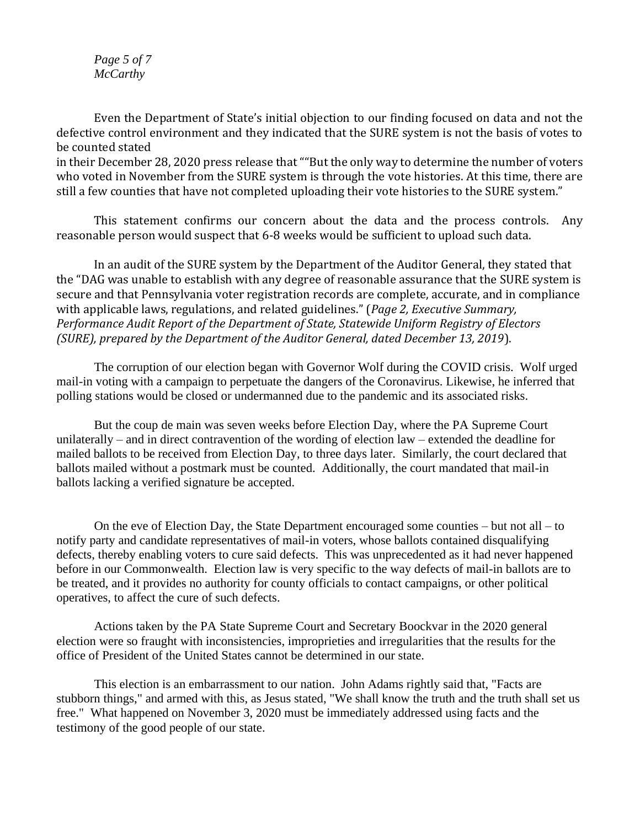*Page 5 of 7 McCarthy*

Even the Department of State's initial objection to our finding focused on data and not the defective control environment and they indicated that the SURE system is not the basis of votes to be counted stated in their December 28, 2020 press release that ""But the only way to determine the number of voters who voted in November from the SURE system is through the vote histories. At this time, there are

still a few counties that have not completed uploading their vote histories to the SURE system."

This statement confirms our concern about the data and the process controls. Any reasonable person would suspect that 6-8 weeks would be sufficient to upload such data.

In an audit of the SURE system by the Department of the Auditor General, they stated that the "DAG was unable to establish with any degree of reasonable assurance that the SURE system is secure and that Pennsylvania voter registration records are complete, accurate, and in compliance with applicable laws, regulations, and related guidelines." (*Page 2, Executive Summary, Performance Audit Report of the Department of State, Statewide Uniform Registry of Electors (SURE), prepared by the Department of the Auditor General, dated December 13, 2019*).

The corruption of our election began with Governor Wolf during the COVID crisis. Wolf urged mail-in voting with a campaign to perpetuate the dangers of the Coronavirus. Likewise, he inferred that polling stations would be closed or undermanned due to the pandemic and its associated risks.

But the coup de main was seven weeks before Election Day, where the PA Supreme Court unilaterally – and in direct contravention of the wording of election law – extended the deadline for mailed ballots to be received from Election Day, to three days later. Similarly, the court declared that ballots mailed without a postmark must be counted. Additionally, the court mandated that mail-in ballots lacking a verified signature be accepted.

On the eve of Election Day, the State Department encouraged some counties – but not all – to notify party and candidate representatives of mail-in voters, whose ballots contained disqualifying defects, thereby enabling voters to cure said defects. This was unprecedented as it had never happened before in our Commonwealth. Election law is very specific to the way defects of mail-in ballots are to be treated, and it provides no authority for county officials to contact campaigns, or other political operatives, to affect the cure of such defects.

Actions taken by the PA State Supreme Court and Secretary Boockvar in the 2020 general election were so fraught with inconsistencies, improprieties and irregularities that the results for the office of President of the United States cannot be determined in our state.

This election is an embarrassment to our nation. John Adams rightly said that, "Facts are stubborn things," and armed with this, as Jesus stated, "We shall know the truth and the truth shall set us free." What happened on November 3, 2020 must be immediately addressed using facts and the testimony of the good people of our state.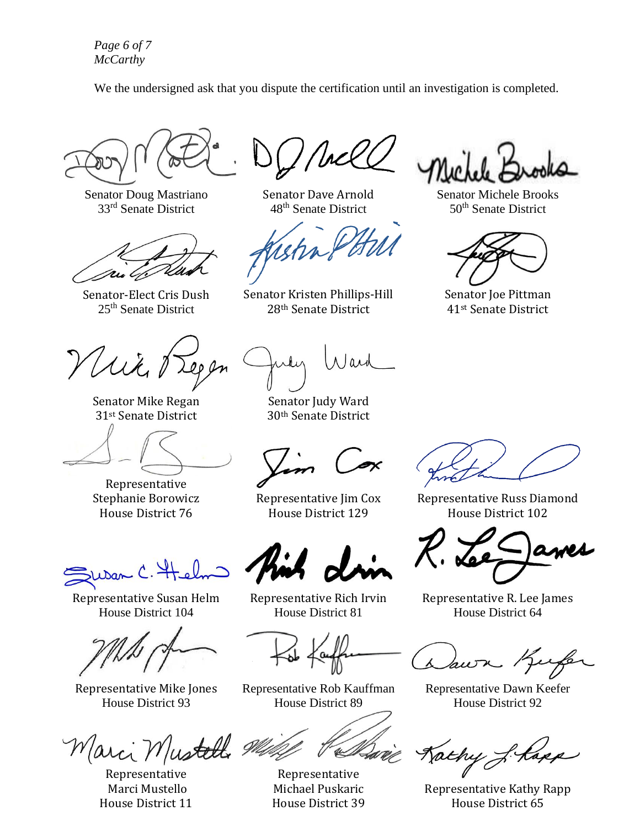*Page 6 of 7 McCarthy*

We the undersigned ask that you dispute the certification until an investigation is completed.

Senator Doug Mastriano 33rd Senate District

Senator-Elect Cris Dush 25th Senate District

With Treps

Senator Mike Regan 31st Senate District

Representative Stephanie Borowicz House District 76

 $L$ Dan

Representative Susan Helm House District 104

Representative Mike Jones House District 93

Marci Mustelli

Representative Marci Mustello House District 11

Senator Dave Arnold 48<sup>th</sup> Senate District

Senator Kristen Phillips-Hill 28th Senate District

Nard

Senator Judy Ward 30th Senate District

Representative Jim Cox House District 129

Representative Rich Irvin House District 81

Representative Rob Kauffman House District 89

Representative Michael Puskaric House District 39

Senator Michele Brooks 50<sup>th</sup> Senate District

Senator Joe Pittman 41st Senate District

Representative Russ Diamond House District 102

Representative R. Lee James House District 64

awn Kufe

Representative Dawn Keefer House District 92

Jachy J. Kapp

Representative Kathy Rapp House District 65